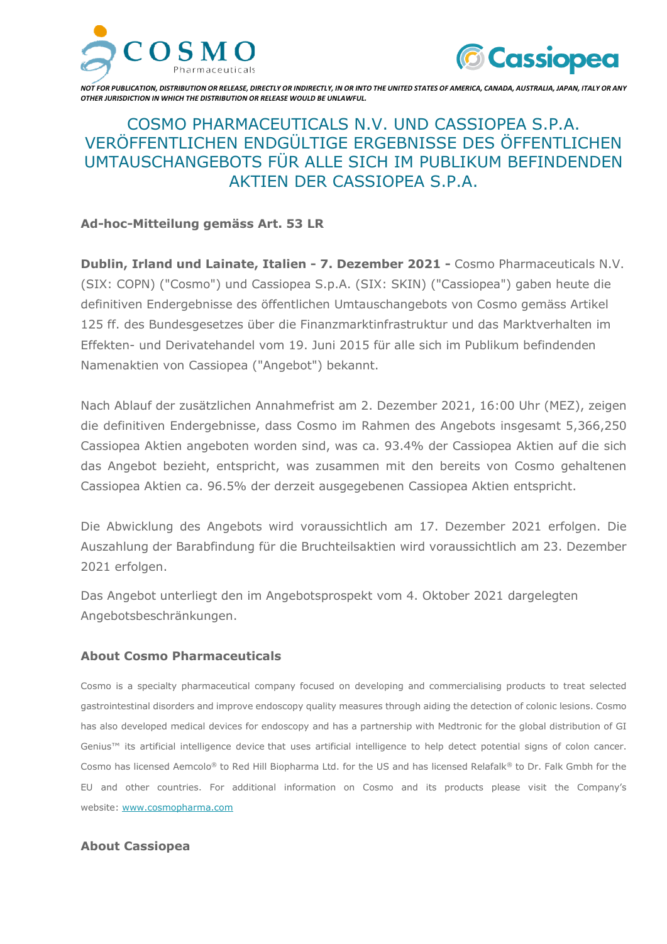



*NOT FOR PUBLICATION, DISTRIBUTION OR RELEASE, DIRECTLY OR INDIRECTLY, IN OR INTO THE UNITED STATES OF AMERICA, CANADA, AUSTRALIA, JAPAN, ITALY OR ANY OTHER JURISDICTION IN WHICH THE DISTRIBUTION OR RELEASE WOULD BE UNLAWFUL.*

# COSMO PHARMACEUTICALS N.V. UND CASSIOPEA S.P.A. VERÖFFENTLICHEN ENDGÜLTIGE ERGEBNISSE DES ÖFFENTLICHEN UMTAUSCHANGEBOTS FÜR ALLE SICH IM PUBLIKUM BEFINDENDEN AKTIEN DER CASSIOPEA S.P.A.

## **Ad-hoc-Mitteilung gemäss Art. 53 LR**

**Dublin, Irland und Lainate, Italien - 7. Dezember 2021 -** Cosmo Pharmaceuticals N.V. (SIX: COPN) ("Cosmo") und Cassiopea S.p.A. (SIX: SKIN) ("Cassiopea") gaben heute die definitiven Endergebnisse des öffentlichen Umtauschangebots von Cosmo gemäss Artikel 125 ff. des Bundesgesetzes über die Finanzmarktinfrastruktur und das Marktverhalten im Effekten- und Derivatehandel vom 19. Juni 2015 für alle sich im Publikum befindenden Namenaktien von Cassiopea ("Angebot") bekannt.

Nach Ablauf der zusätzlichen Annahmefrist am 2. Dezember 2021, 16:00 Uhr (MEZ), zeigen die definitiven Endergebnisse, dass Cosmo im Rahmen des Angebots insgesamt 5,366,250 Cassiopea Aktien angeboten worden sind, was ca. 93.4% der Cassiopea Aktien auf die sich das Angebot bezieht, entspricht, was zusammen mit den bereits von Cosmo gehaltenen Cassiopea Aktien ca. 96.5% der derzeit ausgegebenen Cassiopea Aktien entspricht.

Die Abwicklung des Angebots wird voraussichtlich am 17. Dezember 2021 erfolgen. Die Auszahlung der Barabfindung für die Bruchteilsaktien wird voraussichtlich am 23. Dezember 2021 erfolgen.

Das Angebot unterliegt den im Angebotsprospekt vom 4. Oktober 2021 dargelegten Angebotsbeschränkungen.

### **About Cosmo Pharmaceuticals**

Cosmo is a specialty pharmaceutical company focused on developing and commercialising products to treat selected gastrointestinal disorders and improve endoscopy quality measures through aiding the detection of colonic lesions. Cosmo has also developed medical devices for endoscopy and has a partnership with Medtronic for the global distribution of GI Genius™ its artificial intelligence device that uses artificial intelligence to help detect potential signs of colon cancer. Cosmo has licensed Aemcolo® to Red Hill Biopharma Ltd. for the US and has licensed Relafalk® to Dr. Falk Gmbh for the EU and other countries. For additional information on Cosmo and its products please visit the Company's website: [www.cosmopharma.com](https://www.cosmopharma.com/)

### **About Cassiopea**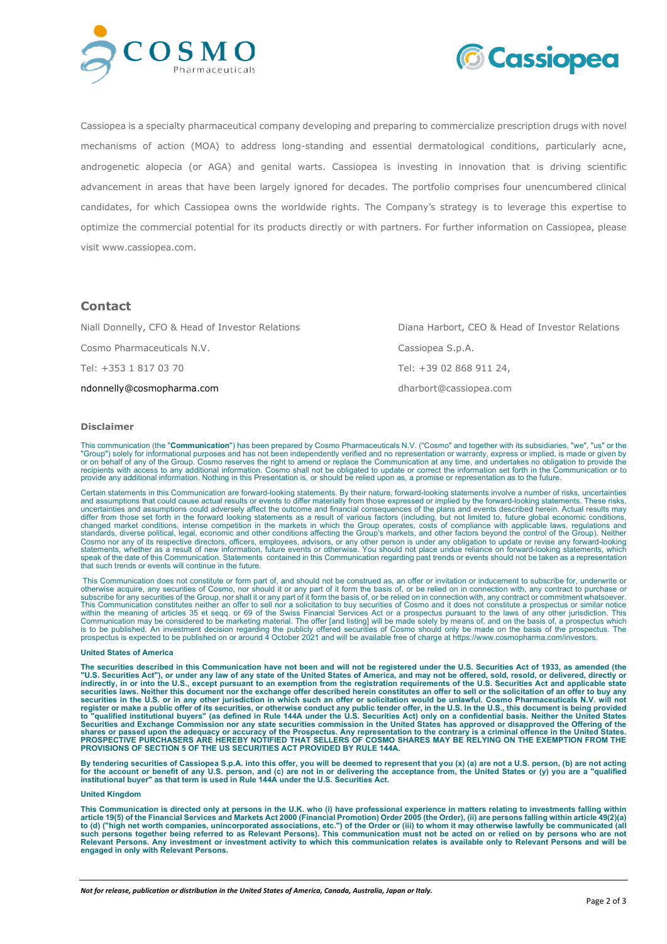



Cassiopea is a specialty pharmaceutical company developing and preparing to commercialize prescription drugs with novel mechanisms of action (MOA) to address long-standing and essential dermatological conditions, particularly acne, androgenetic alopecia (or AGA) and genital warts. Cassiopea is investing in innovation that is driving scientific advancement in areas that have been largely ignored for decades. The portfolio comprises four unencumbered clinical candidates, for which Cassiopea owns the worldwide rights. The Company's strategy is to leverage this expertise to optimize the commercial potential for its products directly or with partners. For further information on Cassiopea, please visit www.cassiopea.com.

### **Contact**

| Niall Donnelly, CFO & Head of Investor Relations | Diana Harbort, CEO & Head of Investor Relations |
|--------------------------------------------------|-------------------------------------------------|
| Cosmo Pharmaceuticals N.V.                       | Cassiopea S.p.A.                                |
| Tel: +353 1 817 03 70                            | Tel: +39 02 868 911 24,                         |
| ndonnelly@cosmopharma.com                        | dharbort@cassiopea.com                          |

#### **Disclaimer**

This communication (the "**Communication**") has been prepared by Cosmo Pharmaceuticals N.V. ("Cosmo" and together with its subsidiaries, "we", "us" or the<br>"Group") solely for informational purposes and has not been independ or on behalf of any of the Group. Cosmo reserves the right to amend or replace the Communication at any time, and undertakes no obligation to provide the<br>recipients with access to any additional information. Cosmo shall no provide any additional information. Nothing in this Presentation is, or should be relied upon as, a promise or representation as to the future.

Certain statements in this Communication are forward-looking statements. By their nature, forward-looking statements involve a number of risks, uncertainties<br>and assumptions that could cause actual results or events to dif uncertainties and assumptions could adversely affect the outcome and financial consequences of the plans and events described herein. Actual results may differ from those set forth in the forward looking statements as a result of various factors (including, but not limited to, future global economic conditions, changed market conditions, intense competition in the markets that such trends or events will continue in the future.

This Communication does not constitute or form part of, and should not be construed as, an offer or invitation or inducement to subscribe for, underwrite or<br>otherwise acquire, any securities of Cosmo, nor should it or any subscribe for any securities of the Group, nor shall it or any part of it form the basis of, or be relied on in connection with, any contract or commitment whatsoever.<br>This Communication constitutes neither an offer to sel Communication may be considered to be marketing material. The offer [and listing] will be made solely by means of, and on the basis of, a prospectus which<br>is to be published. An investment decision regarding the publicly o

#### **United States of America**

**The securities described in this Communication have not been and will not be registered under the U.S. Securities Act of 1933, as amended (the**  "U.S. Securities Act"), or under any law of any state of the United States of America, and may not be offered, sold, resold, or delivered, directly or<br>indirectly, in or into the U.S., except pursuant to an exemption from t **securities laws. Neither this document nor the exchange offer described herein constitutes an offer to sell or the solicitation of an offer to buy any**  securities in the U.S. or in any other jurisdiction in which such an offer or solicitation would be unlawful. Cosmo Pharmaceuticals N.V. will not register or make a public offer of its securities, or otherwise conduct any **PROVISIONS OF SECTION 5 OF THE US SECURITIES ACT PROVIDED BY RULE 144A.**

By tendering securities of Cassiopea S.p.A. into this offer, you will be deemed to represent that you (x) (a) are not a U.S. person, (b) are not acting<br>for the account or benefit of any U.S. person, and (c) are not in or

#### **United Kingdom**

**This Communication is directed only at persons in the U.K. who (i) have professional experience in matters relating to investments falling within article 19(5) of the Financial Services and Markets Act 2000 (Financial Promotion) Order 2005 (the Order), (ii) are persons falling within article 49(2)(a)**  to (d) ("high net worth companies, unincorporated associations, etc.") of the Order or (iii) to whom it may otherwise lawfully be communicated (all<br>such persons together being referred to as Relevant Persons). This communi